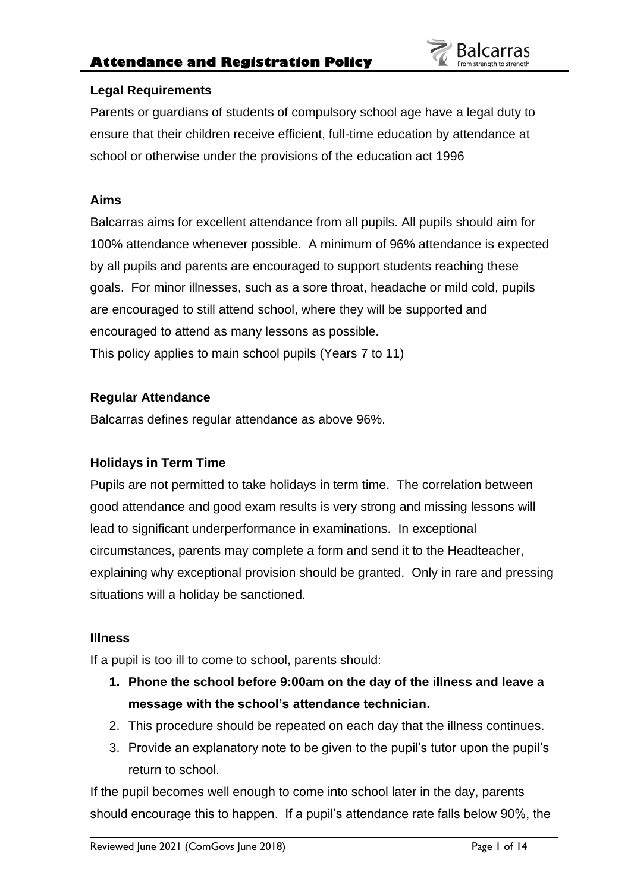

## **Legal Requirements**

Parents or guardians of students of compulsory school age have a legal duty to ensure that their children receive efficient, full-time education by attendance at school or otherwise under the provisions of the education act 1996

## **Aims**

Balcarras aims for excellent attendance from all pupils. All pupils should aim for 100% attendance whenever possible. A minimum of 96% attendance is expected by all pupils and parents are encouraged to support students reaching these goals. For minor illnesses, such as a sore throat, headache or mild cold, pupils are encouraged to still attend school, where they will be supported and encouraged to attend as many lessons as possible. This policy applies to main school pupils (Years 7 to 11)

# **Regular Attendance**

Balcarras defines regular attendance as above 96%.

# **Holidays in Term Time**

Pupils are not permitted to take holidays in term time. The correlation between good attendance and good exam results is very strong and missing lessons will lead to significant underperformance in examinations. In exceptional circumstances, parents may complete a form and send it to the Headteacher, explaining why exceptional provision should be granted. Only in rare and pressing situations will a holiday be sanctioned.

## **Illness**

If a pupil is too ill to come to school, parents should:

- **1. Phone the school before 9:00am on the day of the illness and leave a message with the school's attendance technician.**
- 2. This procedure should be repeated on each day that the illness continues.
- 3. Provide an explanatory note to be given to the pupil's tutor upon the pupil's return to school.

If the pupil becomes well enough to come into school later in the day, parents should encourage this to happen. If a pupil's attendance rate falls below 90%, the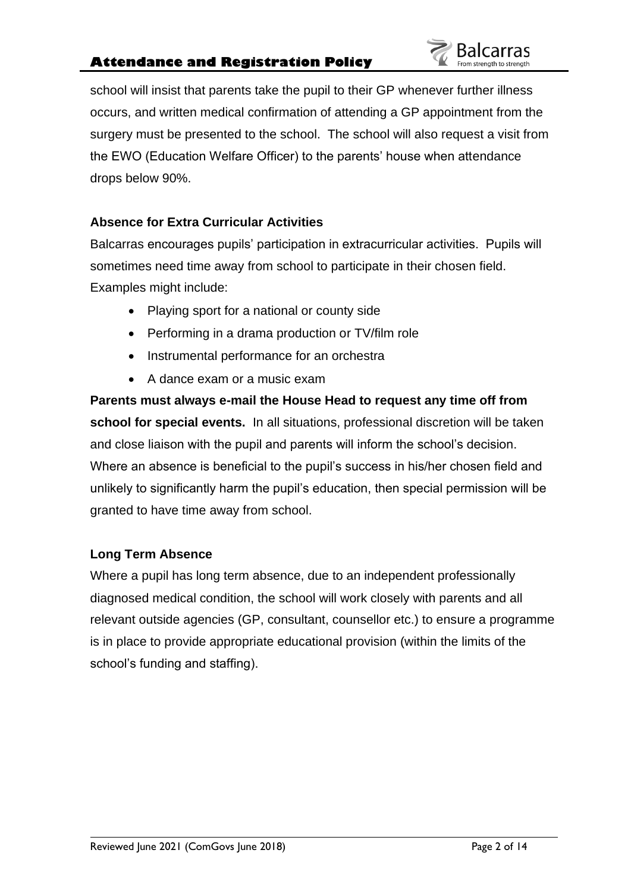# **Attendance and Registration Policy**

school will insist that parents take the pupil to their GP whenever further illness occurs, and written medical confirmation of attending a GP appointment from the surgery must be presented to the school. The school will also request a visit from the EWO (Education Welfare Officer) to the parents' house when attendance drops below 90%.

# **Absence for Extra Curricular Activities**

Balcarras encourages pupils' participation in extracurricular activities. Pupils will sometimes need time away from school to participate in their chosen field. Examples might include:

- Playing sport for a national or county side
- Performing in a drama production or TV/film role
- Instrumental performance for an orchestra
- A dance exam or a music exam

**Parents must always e-mail the House Head to request any time off from school for special events.** In all situations, professional discretion will be taken and close liaison with the pupil and parents will inform the school's decision. Where an absence is beneficial to the pupil's success in his/her chosen field and unlikely to significantly harm the pupil's education, then special permission will be granted to have time away from school.

## **Long Term Absence**

Where a pupil has long term absence, due to an independent professionally diagnosed medical condition, the school will work closely with parents and all relevant outside agencies (GP, consultant, counsellor etc.) to ensure a programme is in place to provide appropriate educational provision (within the limits of the school's funding and staffing).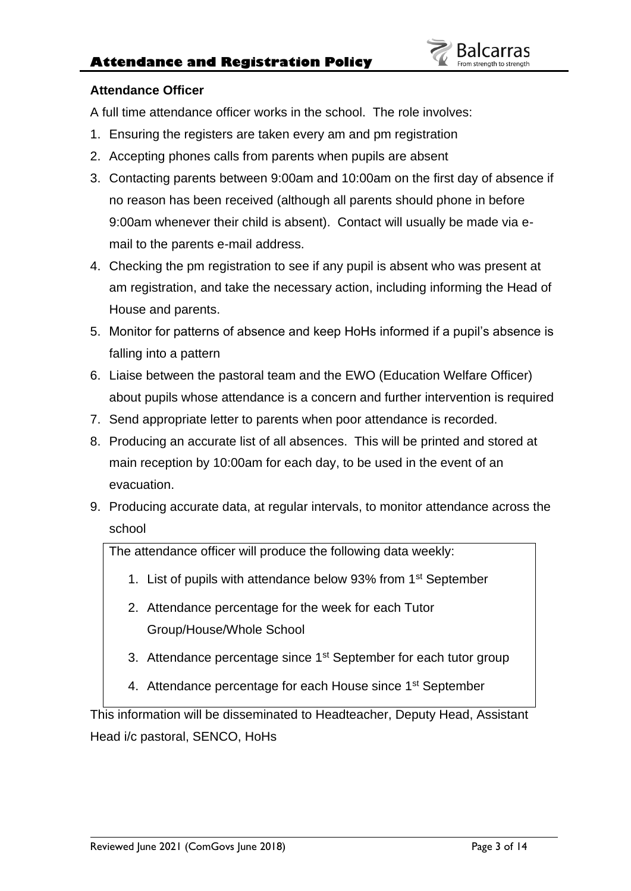

## **Attendance Officer**

A full time attendance officer works in the school. The role involves:

- 1. Ensuring the registers are taken every am and pm registration
- 2. Accepting phones calls from parents when pupils are absent
- 3. Contacting parents between 9:00am and 10:00am on the first day of absence if no reason has been received (although all parents should phone in before 9:00am whenever their child is absent). Contact will usually be made via email to the parents e-mail address.
- 4. Checking the pm registration to see if any pupil is absent who was present at am registration, and take the necessary action, including informing the Head of House and parents.
- 5. Monitor for patterns of absence and keep HoHs informed if a pupil's absence is falling into a pattern
- 6. Liaise between the pastoral team and the EWO (Education Welfare Officer) about pupils whose attendance is a concern and further intervention is required
- 7. Send appropriate letter to parents when poor attendance is recorded.
- 8. Producing an accurate list of all absences. This will be printed and stored at main reception by 10:00am for each day, to be used in the event of an evacuation.
- 9. Producing accurate data, at regular intervals, to monitor attendance across the school

The attendance officer will produce the following data weekly:

- 1. List of pupils with attendance below 93% from 1<sup>st</sup> September
- 2. Attendance percentage for the week for each Tutor Group/House/Whole School
- 3. Attendance percentage since 1<sup>st</sup> September for each tutor group
- 4. Attendance percentage for each House since 1<sup>st</sup> September

This information will be disseminated to Headteacher, Deputy Head, Assistant Head i/c pastoral, SENCO, HoHs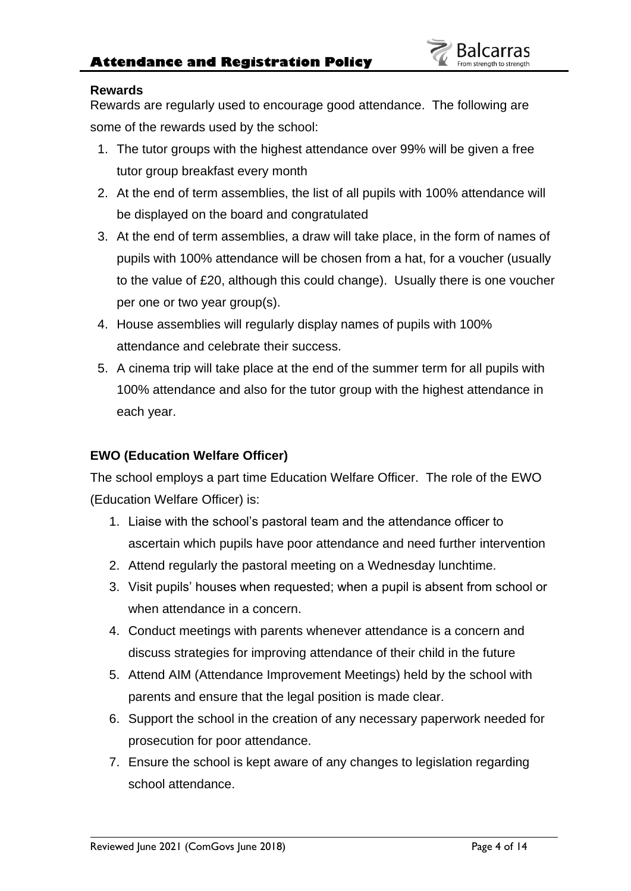## **Rewards**

Rewards are regularly used to encourage good attendance. The following are some of the rewards used by the school:

- 1. The tutor groups with the highest attendance over 99% will be given a free tutor group breakfast every month
- 2. At the end of term assemblies, the list of all pupils with 100% attendance will be displayed on the board and congratulated
- 3. At the end of term assemblies, a draw will take place, in the form of names of pupils with 100% attendance will be chosen from a hat, for a voucher (usually to the value of £20, although this could change). Usually there is one voucher per one or two year group(s).
- 4. House assemblies will regularly display names of pupils with 100% attendance and celebrate their success.
- 5. A cinema trip will take place at the end of the summer term for all pupils with 100% attendance and also for the tutor group with the highest attendance in each year.

## **EWO (Education Welfare Officer)**

The school employs a part time Education Welfare Officer. The role of the EWO (Education Welfare Officer) is:

- 1. Liaise with the school's pastoral team and the attendance officer to ascertain which pupils have poor attendance and need further intervention
- 2. Attend regularly the pastoral meeting on a Wednesday lunchtime.
- 3. Visit pupils' houses when requested; when a pupil is absent from school or when attendance in a concern.
- 4. Conduct meetings with parents whenever attendance is a concern and discuss strategies for improving attendance of their child in the future
- 5. Attend AIM (Attendance Improvement Meetings) held by the school with parents and ensure that the legal position is made clear.
- 6. Support the school in the creation of any necessary paperwork needed for prosecution for poor attendance.
- 7. Ensure the school is kept aware of any changes to legislation regarding school attendance.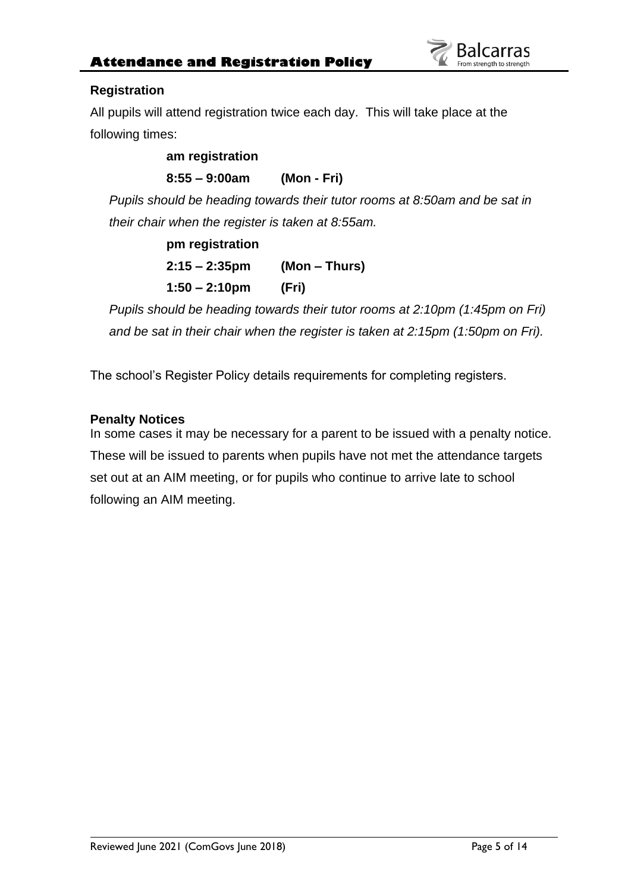## **Registration**

All pupils will attend registration twice each day. This will take place at the following times:

# **am registration 8:55 – 9:00am (Mon - Fri)**

*Pupils should be heading towards their tutor rooms at 8:50am and be sat in their chair when the register is taken at 8:55am.*

# **pm registration 2:15 – 2:35pm (Mon – Thurs) 1:50 – 2:10pm (Fri)**

*Pupils should be heading towards their tutor rooms at 2:10pm (1:45pm on Fri) and be sat in their chair when the register is taken at 2:15pm (1:50pm on Fri).*

The school's Register Policy details requirements for completing registers.

# **Penalty Notices**

In some cases it may be necessary for a parent to be issued with a penalty notice. These will be issued to parents when pupils have not met the attendance targets set out at an AIM meeting, or for pupils who continue to arrive late to school following an AIM meeting.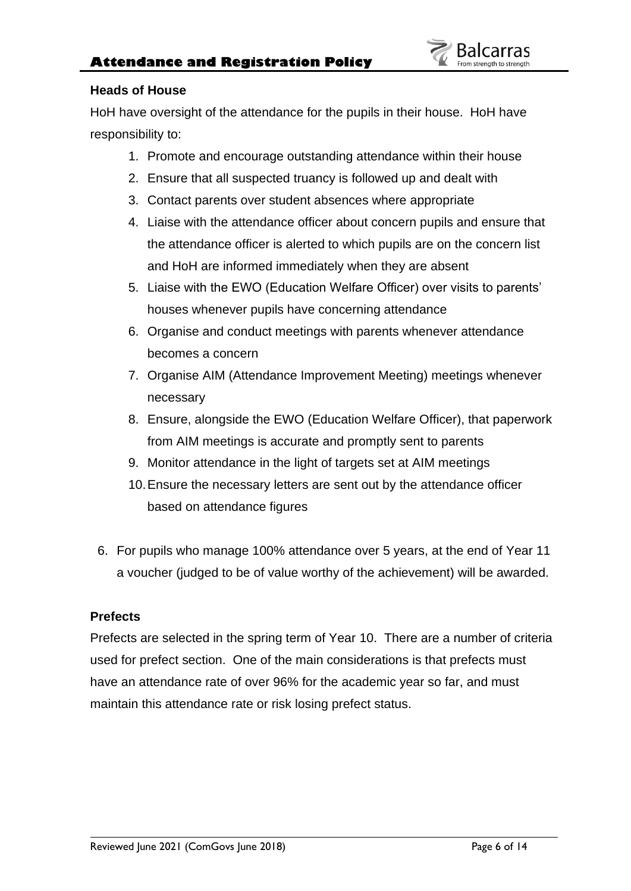## **Heads of House**

HoH have oversight of the attendance for the pupils in their house. HoH have responsibility to:

- 1. Promote and encourage outstanding attendance within their house
- 2. Ensure that all suspected truancy is followed up and dealt with
- 3. Contact parents over student absences where appropriate
- 4. Liaise with the attendance officer about concern pupils and ensure that the attendance officer is alerted to which pupils are on the concern list and HoH are informed immediately when they are absent
- 5. Liaise with the EWO (Education Welfare Officer) over visits to parents' houses whenever pupils have concerning attendance
- 6. Organise and conduct meetings with parents whenever attendance becomes a concern
- 7. Organise AIM (Attendance Improvement Meeting) meetings whenever necessary
- 8. Ensure, alongside the EWO (Education Welfare Officer), that paperwork from AIM meetings is accurate and promptly sent to parents
- 9. Monitor attendance in the light of targets set at AIM meetings
- 10.Ensure the necessary letters are sent out by the attendance officer based on attendance figures
- 6. For pupils who manage 100% attendance over 5 years, at the end of Year 11 a voucher (judged to be of value worthy of the achievement) will be awarded.

## **Prefects**

Prefects are selected in the spring term of Year 10. There are a number of criteria used for prefect section. One of the main considerations is that prefects must have an attendance rate of over 96% for the academic year so far, and must maintain this attendance rate or risk losing prefect status.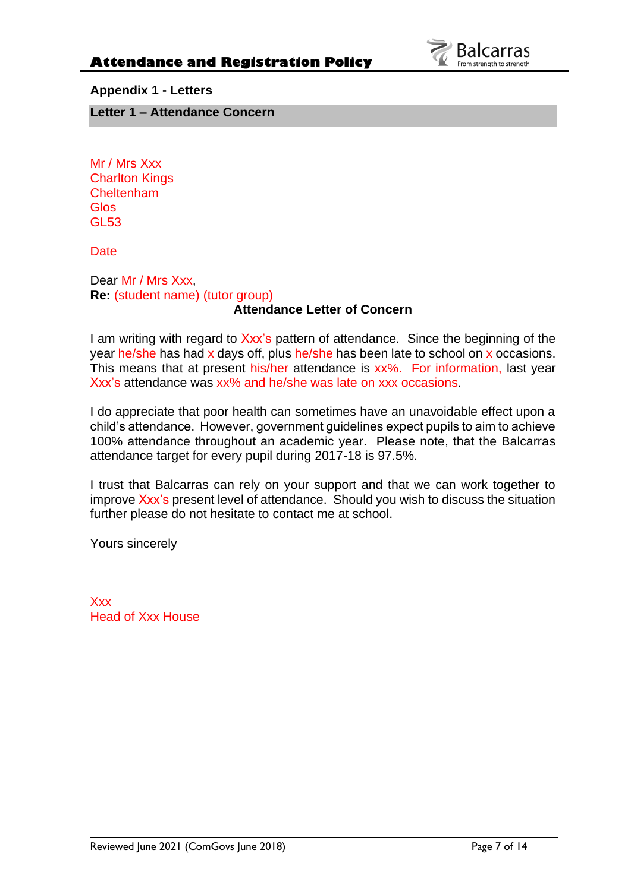

**Appendix 1 - Letters**

**Letter 1 – Attendance Concern**

Mr / Mrs Xxx Charlton Kings Cheltenham **Glos** GL53

**Date** 

#### Dear Mr / Mrs Xxx, **Re:** (student name) (tutor group) **Attendance Letter of Concern**

I am writing with regard to Xxx's pattern of attendance. Since the beginning of the year he/she has had x days off, plus he/she has been late to school on x occasions. This means that at present his/her attendance is xx%. For information, last year Xxx's attendance was xx% and he/she was late on xxx occasions.

I do appreciate that poor health can sometimes have an unavoidable effect upon a child's attendance. However, government guidelines expect pupils to aim to achieve 100% attendance throughout an academic year. Please note, that the Balcarras attendance target for every pupil during 2017-18 is 97.5%.

I trust that Balcarras can rely on your support and that we can work together to improve Xxx's present level of attendance. Should you wish to discuss the situation further please do not hesitate to contact me at school.

Yours sincerely

Xxx Head of Xxx House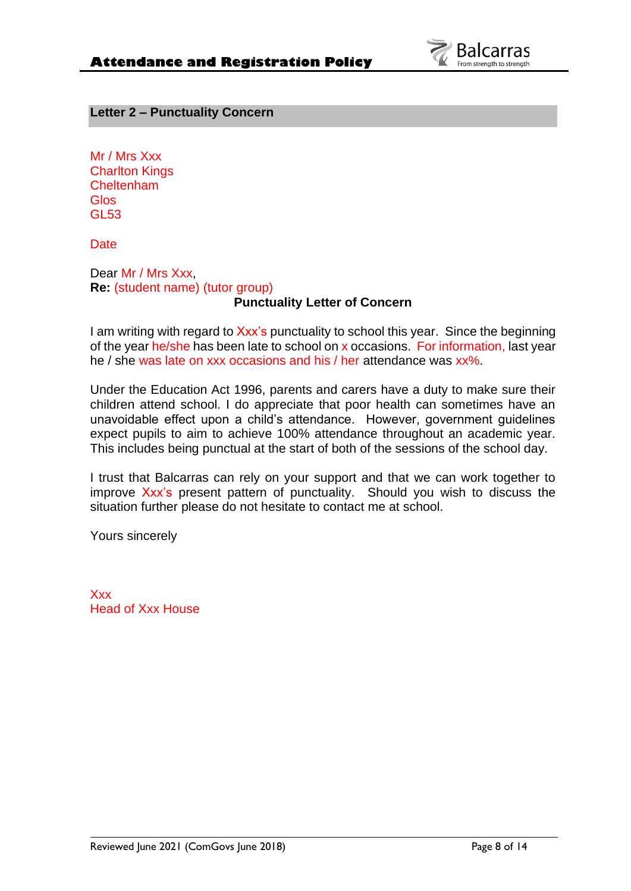

#### **Letter 2 – Punctuality Concern**

Mr / Mrs Xxx Charlton Kings Cheltenham Glos GL53

**Date** 

Dear Mr / Mrs Xxx, **Re:** (student name) (tutor group)

## **Punctuality Letter of Concern**

I am writing with regard to Xxx's punctuality to school this year. Since the beginning of the year he/she has been late to school on x occasions. For information, last year he / she was late on xxx occasions and his / her attendance was xx%.

Under the Education Act 1996, parents and carers have a duty to make sure their children attend school. I do appreciate that poor health can sometimes have an unavoidable effect upon a child's attendance. However, government guidelines expect pupils to aim to achieve 100% attendance throughout an academic year. This includes being punctual at the start of both of the sessions of the school day.

I trust that Balcarras can rely on your support and that we can work together to improve Xxx's present pattern of punctuality. Should you wish to discuss the situation further please do not hesitate to contact me at school.

Yours sincerely

**Xxx** Head of Xxx House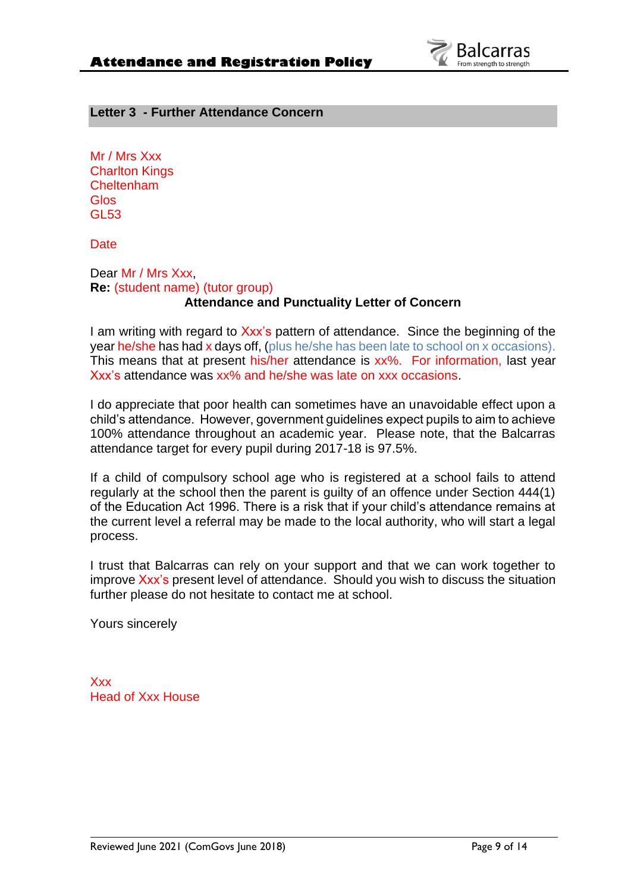

## **Letter 3 - Further Attendance Concern**

Mr / Mrs Xxx Charlton Kings Cheltenham **Glos** GL53

**Date** 

Dear Mr / Mrs Xxx, **Re:** (student name) (tutor group) **Attendance and Punctuality Letter of Concern**

I am writing with regard to Xxx's pattern of attendance. Since the beginning of the year he/she has had x days off, (plus he/she has been late to school on x occasions). This means that at present his/her attendance is xx%. For information, last year Xxx's attendance was xx% and he/she was late on xxx occasions.

I do appreciate that poor health can sometimes have an unavoidable effect upon a child's attendance. However, government guidelines expect pupils to aim to achieve 100% attendance throughout an academic year. Please note, that the Balcarras attendance target for every pupil during 2017-18 is 97.5%.

If a child of compulsory school age who is registered at a school fails to attend regularly at the school then the parent is guilty of an offence under Section 444(1) of the Education Act 1996. There is a risk that if your child's attendance remains at the current level a referral may be made to the local authority, who will start a legal process.

I trust that Balcarras can rely on your support and that we can work together to improve Xxx's present level of attendance. Should you wish to discuss the situation further please do not hesitate to contact me at school.

Yours sincerely

Xxx Head of Xxx House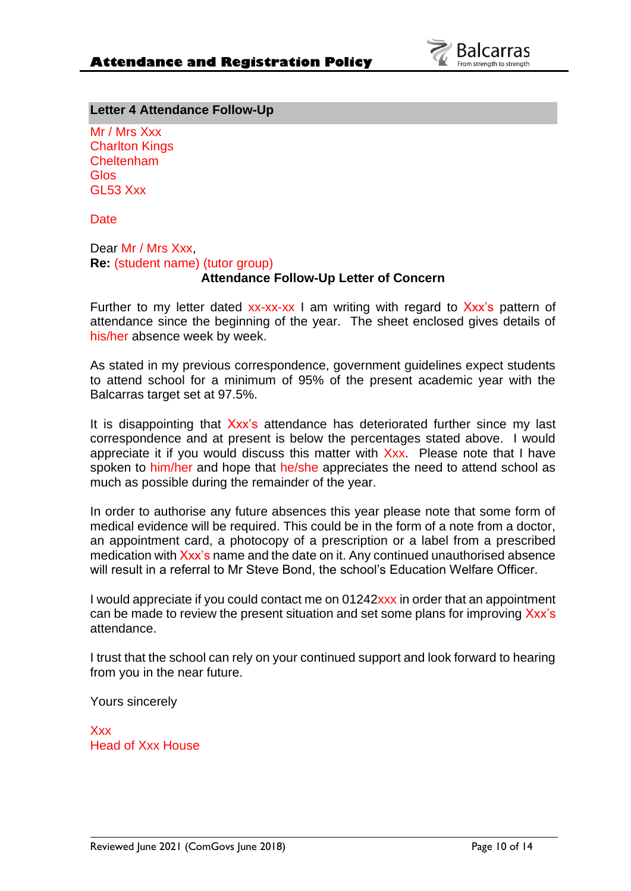

#### **Letter 4 Attendance Follow-Up**

Mr / Mrs Xxx Charlton Kings Cheltenham Glos GL53 Xxx

**Date** 

# Dear Mr / Mrs Xxx, **Re:** (student name) (tutor group)

#### **Attendance Follow-Up Letter of Concern**

Further to my letter dated  $xx-xx-x$  I am writing with regard to  $Xxx$ 's pattern of attendance since the beginning of the year. The sheet enclosed gives details of his/her absence week by week.

As stated in my previous correspondence, government guidelines expect students to attend school for a minimum of 95% of the present academic year with the Balcarras target set at 97.5%.

It is disappointing that Xxx's attendance has deteriorated further since my last correspondence and at present is below the percentages stated above. I would appreciate it if you would discuss this matter with  $Xxx$ . Please note that I have spoken to him/her and hope that he/she appreciates the need to attend school as much as possible during the remainder of the year.

In order to authorise any future absences this year please note that some form of medical evidence will be required. This could be in the form of a note from a doctor, an appointment card, a photocopy of a prescription or a label from a prescribed medication with Xxx's name and the date on it. Any continued unauthorised absence will result in a referral to Mr Steve Bond, the school's Education Welfare Officer.

I would appreciate if you could contact me on 01242xxx in order that an appointment can be made to review the present situation and set some plans for improving Xxx's attendance.

I trust that the school can rely on your continued support and look forward to hearing from you in the near future.

Yours sincerely

Xxx Head of Xxx House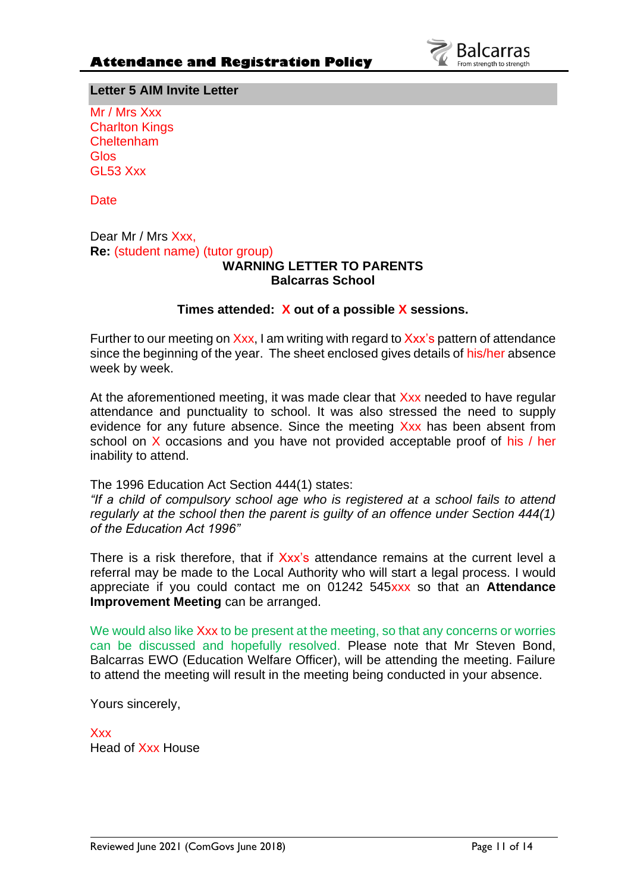

**Letter 5 AIM Invite Letter**

Mr / Mrs Xxx Charlton Kings **Cheltenham** Glos GL53 Xxx

**Date** 

Dear Mr / Mrs Xxx, **Re:** (student name) (tutor group)

## **WARNING LETTER TO PARENTS Balcarras School**

## **Times attended: X out of a possible X sessions.**

Further to our meeting on Xxx, I am writing with regard to Xxx's pattern of attendance since the beginning of the year. The sheet enclosed gives details of his/her absence week by week.

At the aforementioned meeting, it was made clear that Xxx needed to have regular attendance and punctuality to school. It was also stressed the need to supply evidence for any future absence. Since the meeting Xxx has been absent from school on  $X$  occasions and you have not provided acceptable proof of his / her inability to attend.

The 1996 Education Act Section 444(1) states:

*"If a child of compulsory school age who is registered at a school fails to attend regularly at the school then the parent is guilty of an offence under Section 444(1) of the Education Act 1996"*

There is a risk therefore, that if Xxx's attendance remains at the current level a referral may be made to the Local Authority who will start a legal process. I would appreciate if you could contact me on 01242 545xxx so that an **Attendance Improvement Meeting** can be arranged.

We would also like Xxx to be present at the meeting, so that any concerns or worries can be discussed and hopefully resolved. Please note that Mr Steven Bond, Balcarras EWO (Education Welfare Officer), will be attending the meeting. Failure to attend the meeting will result in the meeting being conducted in your absence.

Yours sincerely,

**Xxx** Head of Xxx House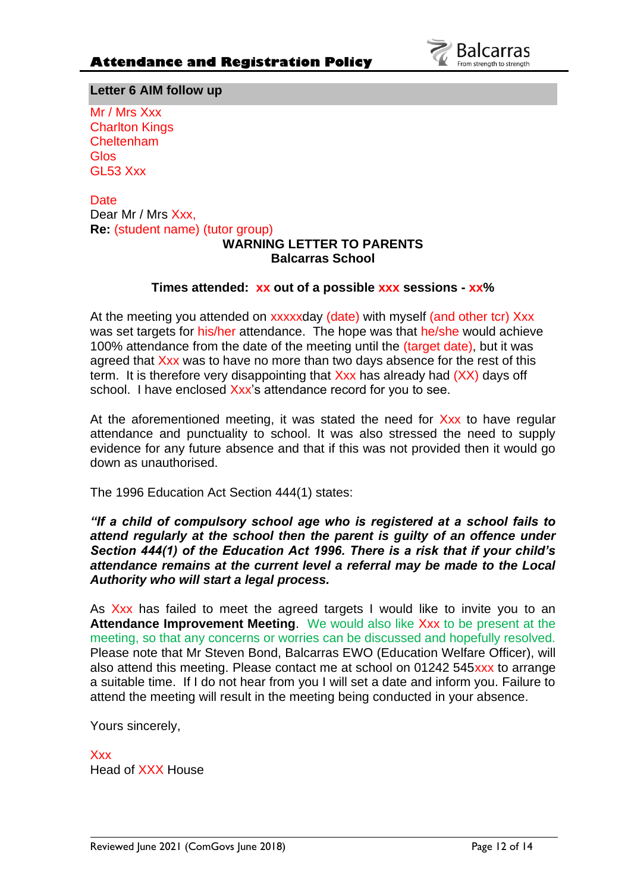

**Letter 6 AIM follow up**

Mr / Mrs Xxx Charlton Kings **Cheltenham** Glos GL53 Xxx

**Date** Dear Mr / Mrs Xxx, **Re:** (student name) (tutor group)

# **WARNING LETTER TO PARENTS Balcarras School**

## **Times attended: xx out of a possible xxx sessions - xx%**

At the meeting you attended on xxxxxday (date) with myself (and other tcr) Xxx was set targets for his/her attendance. The hope was that he/she would achieve 100% attendance from the date of the meeting until the (target date), but it was agreed that Xxx was to have no more than two days absence for the rest of this term. It is therefore very disappointing that  $Xxx$  has already had  $(XX)$  days off school. I have enclosed Xxx's attendance record for you to see.

At the aforementioned meeting, it was stated the need for Xxx to have regular attendance and punctuality to school. It was also stressed the need to supply evidence for any future absence and that if this was not provided then it would go down as unauthorised.

The 1996 Education Act Section 444(1) states:

*"If a child of compulsory school age who is registered at a school fails to attend regularly at the school then the parent is guilty of an offence under Section 444(1) of the Education Act 1996. There is a risk that if your child's attendance remains at the current level a referral may be made to the Local Authority who will start a legal process.*

As Xxx has failed to meet the agreed targets I would like to invite you to an **Attendance Improvement Meeting**. We would also like Xxx to be present at the meeting, so that any concerns or worries can be discussed and hopefully resolved. Please note that Mr Steven Bond, Balcarras EWO (Education Welfare Officer), will also attend this meeting. Please contact me at school on 01242 545 xxx to arrange a suitable time. If I do not hear from you I will set a date and inform you. Failure to attend the meeting will result in the meeting being conducted in your absence.

Yours sincerely,

Xxx Head of XXX House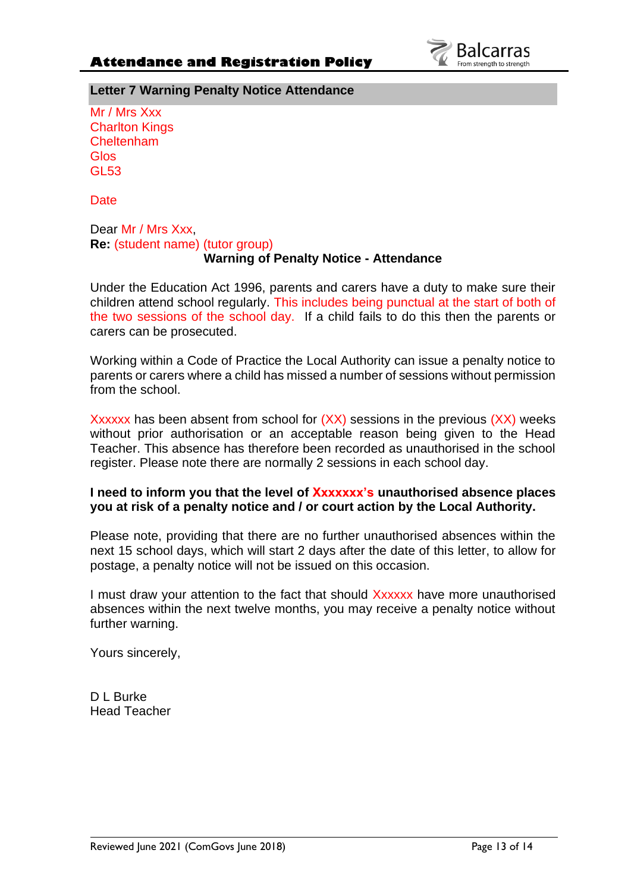

**Letter 7 Warning Penalty Notice Attendance**

Mr / Mrs Xxx Charlton Kings **Cheltenham Glos** GL53

**Date** 

#### Dear Mr / Mrs Xxx, **Re:** (student name) (tutor group) **Warning of Penalty Notice - Attendance**

Under the Education Act 1996, parents and carers have a duty to make sure their children attend school regularly. This includes being punctual at the start of both of the two sessions of the school day. If a child fails to do this then the parents or carers can be prosecuted.

Working within a Code of Practice the Local Authority can issue a penalty notice to parents or carers where a child has missed a number of sessions without permission from the school.

Xxxxxx has been absent from school for  $(XX)$  sessions in the previous  $(XX)$  weeks without prior authorisation or an acceptable reason being given to the Head Teacher. This absence has therefore been recorded as unauthorised in the school register. Please note there are normally 2 sessions in each school day.

## **I need to inform you that the level of Xxxxxxx's unauthorised absence places you at risk of a penalty notice and / or court action by the Local Authority.**

Please note, providing that there are no further unauthorised absences within the next 15 school days, which will start 2 days after the date of this letter, to allow for postage, a penalty notice will not be issued on this occasion.

I must draw your attention to the fact that should Xxxxxx have more unauthorised absences within the next twelve months, you may receive a penalty notice without further warning.

Yours sincerely,

D L Burke Head Teacher